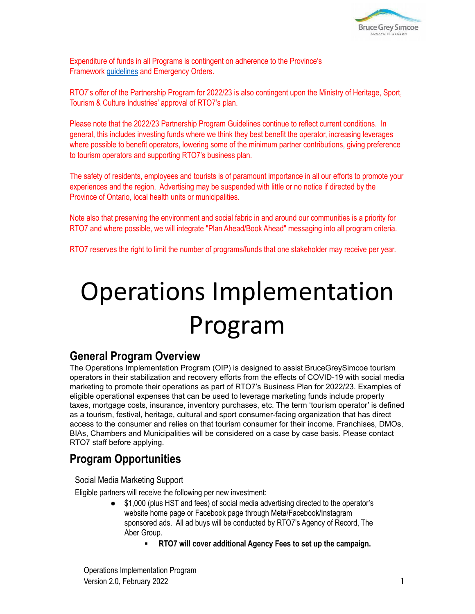

Expenditure of funds in all Programs is contingent on adherence to the Province's Framework [guidelines](https://covid-19.ontario.ca/public-health-measures) and Emergency Orders.

RTO7's offer of the Partnership Program for 2022/23 is also contingent upon the Ministry of Heritage, Sport, Tourism & Culture Industries' approval of RTO7's plan.

Please note that the 2022/23 Partnership Program Guidelines continue to reflect current conditions. In general, this includes investing funds where we think they best benefit the operator, increasing leverages where possible to benefit operators, lowering some of the minimum partner contributions, giving preference to tourism operators and supporting RTO7's business plan.

The safety of residents, employees and tourists is of paramount importance in all our efforts to promote your experiences and the region. Advertising may be suspended with little or no notice if directed by the Province of Ontario, local health units or municipalities.

Note also that preserving the environment and social fabric in and around our communities is a priority for RTO7 and where possible, we will integrate "Plan Ahead/Book Ahead" messaging into all program criteria.

RTO7 reserves the right to limit the number of programs/funds that one stakeholder may receive per year.

# Operations Implementation Program

### **General Program Overview**

The Operations Implementation Program (OIP) is designed to assist BruceGreySimcoe tourism operators in their stabilization and recovery efforts from the effects of COVID-19 with social media marketing to promote their operations as part of RTO7's Business Plan for 2022/23. Examples of eligible operational expenses that can be used to leverage marketing funds include property taxes, mortgage costs, insurance, inventory purchases, etc. The term 'tourism operator' is defined as a tourism, festival, heritage, cultural and sport consumer-facing organization that has direct access to the consumer and relies on that tourism consumer for their income. Franchises, DMOs, BIAs, Chambers and Municipalities will be considered on a case by case basis. Please contact RTO7 staff before applying.

## **Program Opportunities**

Social Media Marketing Support

Eligible partners will receive the following per new investment:

- \$1,000 (plus HST and fees) of social media advertising directed to the operator's website home page or Facebook page through Meta/Facebook/Instagram sponsored ads. All ad buys will be conducted by RTO7's Agency of Record, The Aber Group.
	- **RTO7 will cover additional Agency Fees to set up the campaign.**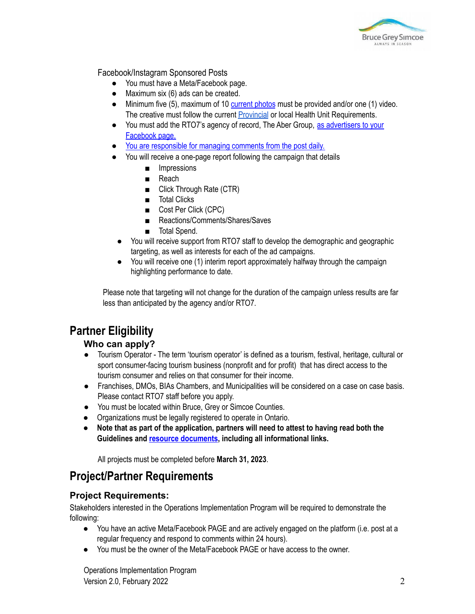

Facebook/Instagram Sponsored Posts

- You must have a Meta/Facebook page.
- Maximum six (6) ads can be created.
- Minimum five (5), maximum of 10 [current](http://cms.rto7.ca/Public/Programs/Resource-Guide#FBInstaBestPractices) photos must be provided and/or one (1) video. The creative must follow the current **[Provincial](https://covid-19.ontario.ca/covid-19-help-businesses-ontario)** or local Health Unit Requirements.
- You must add the RTO7's agency of record, The Aber Group, as [advertisers](https://rto7.ca/Public/Programs/Resource-Guide-en#HowAddtoAdsManagerFB) to your [Facebook](https://rto7.ca/Public/Programs/Resource-Guide-en#HowAddtoAdsManagerFB) page.
- You are [responsible](https://rto7.ca/Public/Programs/Resource-Guide-en#SocialMedia) for managing comments from the post daily.
- You will receive a one-page report following the campaign that details
	- Impressions
	- Reach
	- Click Through Rate (CTR)
	- Total Clicks
	- Cost Per Click (CPC)
	- Reactions/Comments/Shares/Saves
	- Total Spend.
- You will receive support from RTO7 staff to develop the demographic and geographic targeting, as well as interests for each of the ad campaigns.
- You will receive one (1) interim report approximately halfway through the campaign highlighting performance to date.

Please note that targeting will not change for the duration of the campaign unless results are far less than anticipated by the agency and/or RTO7.

# **Partner Eligibility**

#### **Who can apply?**

- Tourism Operator The term 'tourism operator' is defined as a tourism, festival, heritage, cultural or sport consumer-facing tourism business (nonprofit and for profit) that has direct access to the tourism consumer and relies on that consumer for their income.
- Franchises, DMOs, BIAs Chambers, and Municipalities will be considered on a case on case basis. Please contact RTO7 staff before you apply.
- You must be located within Bruce, Grey or Simcoe Counties.
- Organizations must be legally registered to operate in Ontario.
- **● Note that as part of the application, partners will need to attest to having read both the Guidelines and resource [documents](https://rto7.ca/Public/Programs/Resource-Guide-en), including all informational links.**

All projects must be completed before **March 31, 2023**.

## **Project/Partner Requirements**

#### **Project Requirements:**

Stakeholders interested in the Operations Implementation Program will be required to demonstrate the following:

- You have an active Meta/Facebook PAGE and are actively engaged on the platform (i.e. post at a regular frequency and respond to comments within 24 hours).
- You must be the owner of the Meta/Facebook PAGE or have access to the owner.

Operations Implementation Program Version 2.0, February 2022 2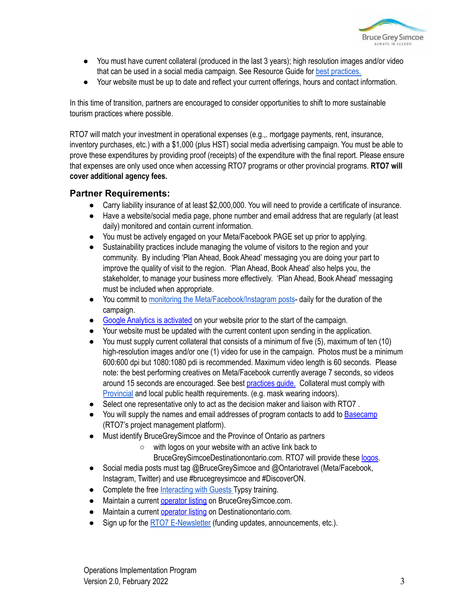

- You must have current collateral (produced in the last 3 years); high resolution images and/or video that can be used in a social media campaign. See Resource Guide for best [practices.](https://rto7.ca/Public/Resources/Resource-Guide#FBInstaBestPractices)
- Your website must be up to date and reflect your current offerings, hours and contact information.

In this time of transition, partners are encouraged to consider opportunities to shift to more sustainable tourism practices where possible.

RTO7 will match your investment in operational expenses (e.g.,. mortgage payments, rent, insurance, inventory purchases, etc.) with a \$1,000 (plus HST) social media advertising campaign. You must be able to prove these expenditures by providing proof (receipts) of the expenditure with the final report. Please ensure that expenses are only used once when accessing RTO7 programs or other provincial programs. **RTO7 will cover additional agency fees.**

#### **Partner Requirements:**

- Carry liability insurance of at least \$2,000,000. You will need to provide a certificate of insurance.
- Have a website/social media page, phone number and email address that are regularly (at least daily) monitored and contain current information.
- You must be actively engaged on your Meta/Facebook PAGE set up prior to applying.
- Sustainability practices include managing the volume of visitors to the region and your community. By including 'Plan Ahead, Book Ahead' messaging you are doing your part to improve the quality of visit to the region. 'Plan Ahead, Book Ahead' also helps you, the stakeholder, to manage your business more effectively. 'Plan Ahead, Book Ahead' messaging must be included when appropriate.
- You commit to monitoring the [Meta/Facebook/Instagram](https://rto7.ca/Public/Programs/Resource-Guide-en#SocialMedia) posts- daily for the duration of the campaign.
- Google Analytics is [activated](https://rto7.ca/Public/Programs/Resource-Guide-en#GoogleAnalytics) on your website prior to the start of the campaign.
- Your website must be updated with the current content upon sending in the application.
- You must supply current collateral that consists of a minimum of five (5), maximum of ten (10) high-resolution images and/or one (1) video for use in the campaign. Photos must be a minimum 600:600 dpi but 1080:1080 pdi is recommended. Maximum video length is 60 seconds. Please note: the best performing creatives on Meta/Facebook currently average 7 seconds, so videos around 15 seconds are encouraged. See best [practices](http://cms.rto7.ca/Public/Programs/Resource-Guide#FBInstaBestPractices) guide. Collateral must comply with [Provincial](https://covid-19.ontario.ca/covid-19-help-businesses-ontario) and local public health requirements. (e.g. mask wearing indoors).
- Select one representative only to act as the decision maker and liaison with RTO7.
- You will supply the names and email addresses of program contacts to add to [Basecamp](https://rto7.ca/Public/Programs/Resource-Guide#UsingBasecamp3) (RTO7's project management platform).
- Must identify BruceGreySimcoe and the Province of Ontario as partners
	- with logos on your website with an active link back to
		- BruceGreySimcoeDestinationontario.com. RTO7 will provide these [logos.](https://rto7.ca/Public/Programs/Resource-Guide-en#BGS&OntarioLogos)
- Social media posts must tag @BruceGreySimcoe and @Ontariotravel (Meta/Facebook, Instagram, Twitter) and use #brucegreysimcoe and #DiscoverON.
- Complete the free [Interacting](https://rto7.ca/Public/Programs/BruceGreySimcoe-Free-Training) with Guests Typsy training.
- Maintain a current [operator](https://brucegreysimcoe.com/bgs-services/OperatorRegistration/Default.aspx) listing on BruceGreySimcoe.com.
- Maintain a current [operator](https://docs.google.com/forms/d/e/1FAIpQLScKFv0w0rI5-M993TGqN_i0MsqrPizHB8I5gNO6WWEKgd6Qng/viewform) listing on Destinationontario.com.
- Sign up for the RTO7 [E-Newsletter](http://rto7.ca/Public/Special-Pages/Mailing-List-Signup) (funding updates, announcements, etc.).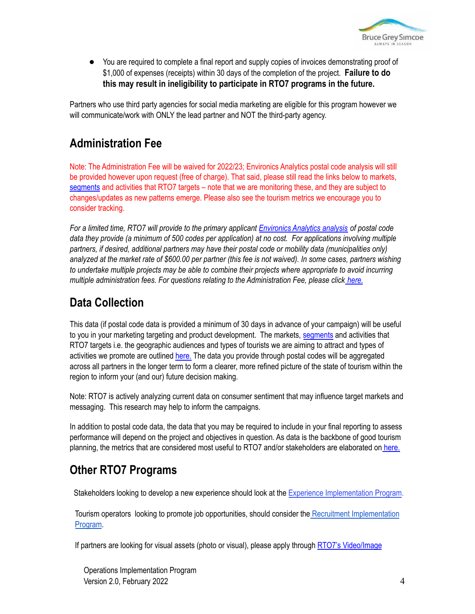

**●** You are required to complete a final report and supply copies of invoices demonstrating proof of \$1,000 of expenses (receipts) within 30 days of the completion of the project. **Failure to do this may result in ineligibility to participate in RTO7 programs in the future.**

Partners who use third party agencies for social media marketing are eligible for this program however we will communicate/work with ONLY the lead partner and NOT the third-party agency.

## **Administration Fee**

Note: The Administration Fee will be waived for 2022/23; Environics Analytics postal code analysis will still be provided however upon request (free of charge). That said, please still read the links below to markets, [segments](https://rto7.ca/Public/Programs/Resource-Guide#RTO7PrizmSegments) and activities that RTO7 targets – note that we are monitoring these, and they are subject to changes/updates as new patterns emerge. Please also see the tourism metrics we encourage you to consider tracking.

For a limited time, RTO7 will provide to the primary applicant [Environics](https://rto7.ca/Documents/Public/Partnership-Funding-Projects/Sample-Prizm-Report) Analytics analysis of postal code data they provide (a minimum of 500 codes per application) at no cost. For applications involving multiple *partners, if desired, additional partners may have their postal code or mobility data (municipalities only)* analyzed at the market rate of \$600.00 per partner (this fee is not waived). In some cases, partners wishing *to undertake multiple projects may be able to combine their projects where appropriate to avoid incurring multiple administration fees. For questions relating to the Administration Fee, please click [here.](https://rto7.ca/Public/Programs/Resource-Guide-en#AdminFeeFAQ)*

## **Data Collection**

This data (if postal code data is provided a minimum of 30 days in advance of your campaign) will be useful to you in your marketing targeting and product development. The markets, [segments](https://rto7.ca/Public/Programs/Resource-Guide#RTO7PrizmSegments) and activities that RTO7 targets i.e. the geographic audiences and types of tourists we are aiming to attract and types of activities we promote are outlined [here.](https://rto7.ca/Public/Programs/Resource-Guide-en#TargetMarkets&Activities) The data you provide through postal codes will be aggregated across all partners in the longer term to form a clearer, more refined picture of the state of tourism within the region to inform your (and our) future decision making.

Note: RTO7 is actively analyzing current data on consumer sentiment that may influence target markets and messaging. This research may help to inform the campaigns.

In addition to postal code data, the data that you may be required to include in your final reporting to assess performance will depend on the project and objectives in question. As data is the backbone of good tourism planning, the metrics that are considered most useful to RTO7 and/or stakeholders are elaborated on [here.](https://rto7.ca/Public/Programs/Resource-Guide-en#PerformanceMetrics)

# **Other RTO7 Programs**

Stakeholders looking to develop a new experience should look at the Experience [Implementation](https://rto7.ca/Public/Programs/Experience-Implementation-Program) Program.

Tourism operators looking to promote job opportunities, should consider the Recruitment [Implementation](https://rto7.ca/Public/Programs/Recruitment-Implementation-Program) [Program](https://rto7.ca/Public/Programs/Recruitment-Implementation-Program).

If partners are looking for visual assets (photo or visual), please apply through RTO7's [Video/Image](https://rto7.ca/Public/Programs/Partnership-Program)